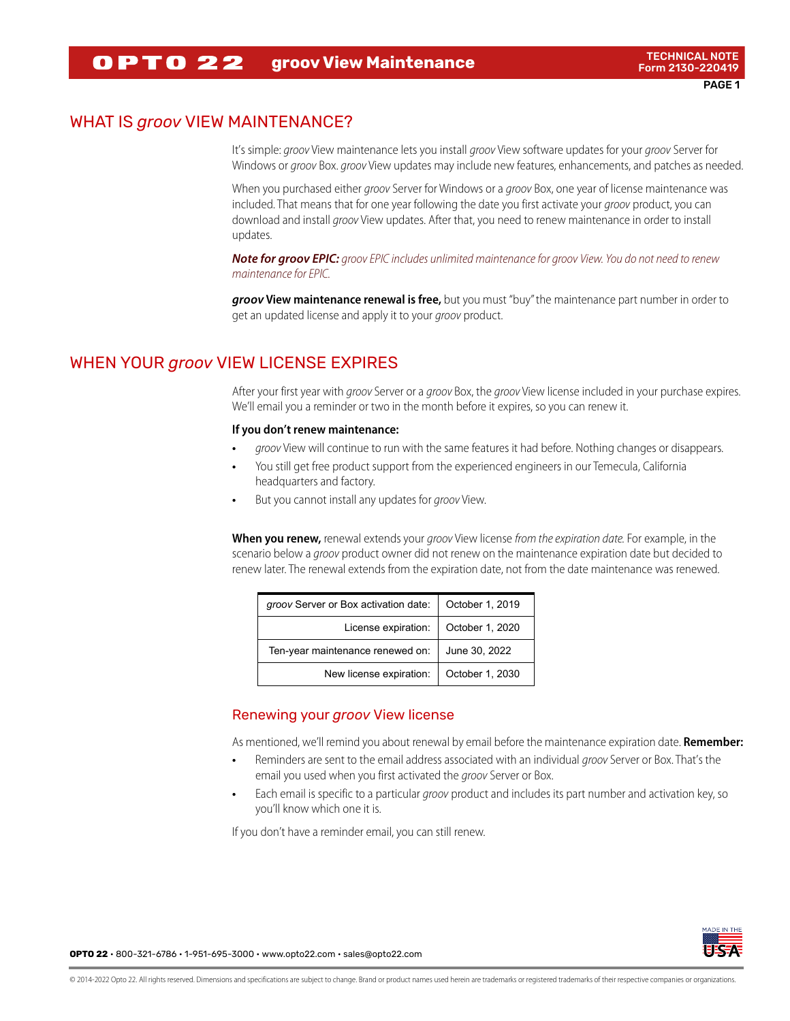#### **groov View Maintenance** TECHNICAL NOTE **OPTO 22**

# WHAT IS *groov* VIEW MAINTENANCE?

It's simple: groov View maintenance lets you install groov View software updates for your groov Server for Windows or *groov* Box. *groov* View updates may include new features, enhancements, and patches as needed.

When you purchased either groov Server for Windows or a groov Box, one year of license maintenance was included. That means that for one year following the date you first activate your groov product, you can download and install groov View updates. After that, you need to renew maintenance in order to install updates.

**Note for groov EPIC:** groov EPIC includes unlimited maintenance for groov View. You do not need to renew maintenance for EPIC.

**groov View maintenance renewal is free,** but you must "buy" the maintenance part number in order to get an updated license and apply it to your groov product.

# WHEN YOUR *groov* VIEW LICENSE EXPIRES

After your first year with groov Server or a groov Box, the groov View license included in your purchase expires. We'll email you a reminder or two in the month before it expires, so you can renew it.

## **If you don't renew maintenance:**

- **•** groov View will continue to run with the same features it had before. Nothing changes or disappears.
- **•** You still get free product support from the experienced engineers in our Temecula, California headquarters and factory.
- **•** But you cannot install any updates for groov View.

**When you renew,** renewal extends your groov View license from the expiration date. For example, in the scenario below a groov product owner did not renew on the maintenance expiration date but decided to renew later. The renewal extends from the expiration date, not from the date maintenance was renewed.

| groov Server or Box activation date: | October 1, 2019 |
|--------------------------------------|-----------------|
| License expiration:                  | October 1, 2020 |
| Ten-year maintenance renewed on:     | June 30, 2022   |
| New license expiration:              | October 1, 2030 |

## Renewing your *groov* View license

As mentioned, we'll remind you about renewal by email before the maintenance expiration date. **Remember:**

- **•** Reminders are sent to the email address associated with an individual groov Server or Box. That's the email you used when you first activated the *groov* Server or Box.
- **•** Each email is specific to a particular groov product and includes its part number and activation key, so you'll know which one it is.

If you don't have a reminder email, you can still renew.



**OPTO 22** • 800-321-6786 • 1-951-695-3000 • www.opto22.com • sales@opto22.com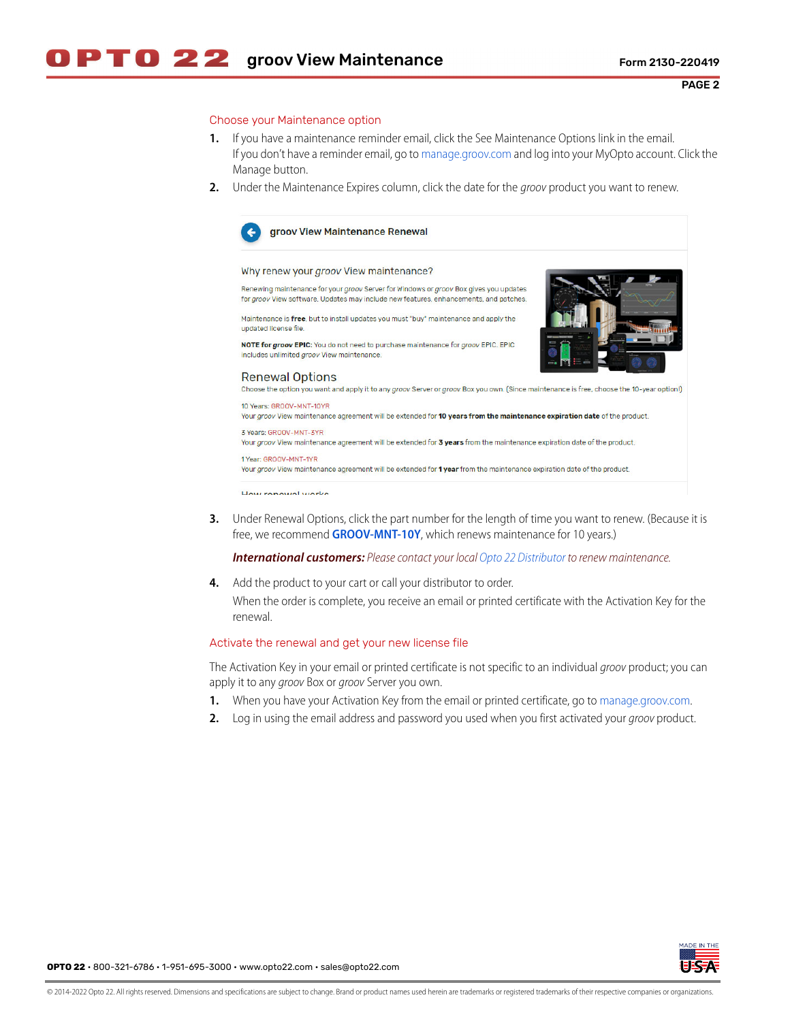## Choose your Maintenance option

- **1.** If you have a maintenance reminder email, click the See Maintenance Options link in the email. If you don't have a reminder email, go to [manage.groov.com](https://www.opto22.com/my-opto/manage-groov) and log into your MyOpto account. Click the Manage button.
- **2.** Under the Maintenance Expires column, click the date for the groov product you want to renew.



### groov View Maintenance Renewal

## Why renew your groov View maintenance?

Renewing maintenance for your groov Server for Windows or groov Box gives you updates for groov View software. Updates may include new features, enhancements, and patches.

Maintenance is free, but to install updates you must "buy" maintenance and apply the updated license file.

NOTE for groov EPIC: You do not need to purchase maintenance for groov EPIC. EPIC includes unlimited groov View maintenance.



**Renewal Options** 

Choose the option you want and apply it to any groov Server or groov Box you own. (Since maintenance is free, choose the 10-year option!)

10 Years: GROOV-MNT-10YR Your groov View maintenance agreement will be extended for 10 years from the maintenance expiration date of the product.

3 Years: GROOV-MNT-3YR Your groov View maintenance agreement will be extended for 3 years from the maintenance expiration date of the product.

### 1 Year: GROOV-MNT-1YR

Your groov View maintenance agreement will be extended for 1 year from the maintenance expiration date of the product.

How ronough works

**3.** Under Renewal Options, click the part number for the length of time you want to renew. (Because it is free, we recommend **[GROOV-MNT-10Y](https://www.opto22.com/products/product-container/groov-mnt-10yr)**, which renews maintenance for 10 years.)

**International customers:** Please contact your local [Opto 22 Distributor](https://www.opto22.com/about-us/distributors/international-optodistributors) to renew maintenance.

**4.** Add the product to your cart or call your distributor to order. When the order is complete, you receive an email or printed certificate with the Activation Key for the renewal.

### Activate the renewal and get your new license file

The Activation Key in your email or printed certificate is not specific to an individual groov product; you can apply it to any groov Box or groov Server you own.

- **1.** When you have your Activation Key from the email or printed certificate, go to [manage.groov.com](http://www.opto22.com/site/managegroov.aspx).
- **2.** Log in using the email address and password you used when you first activated your groov product.

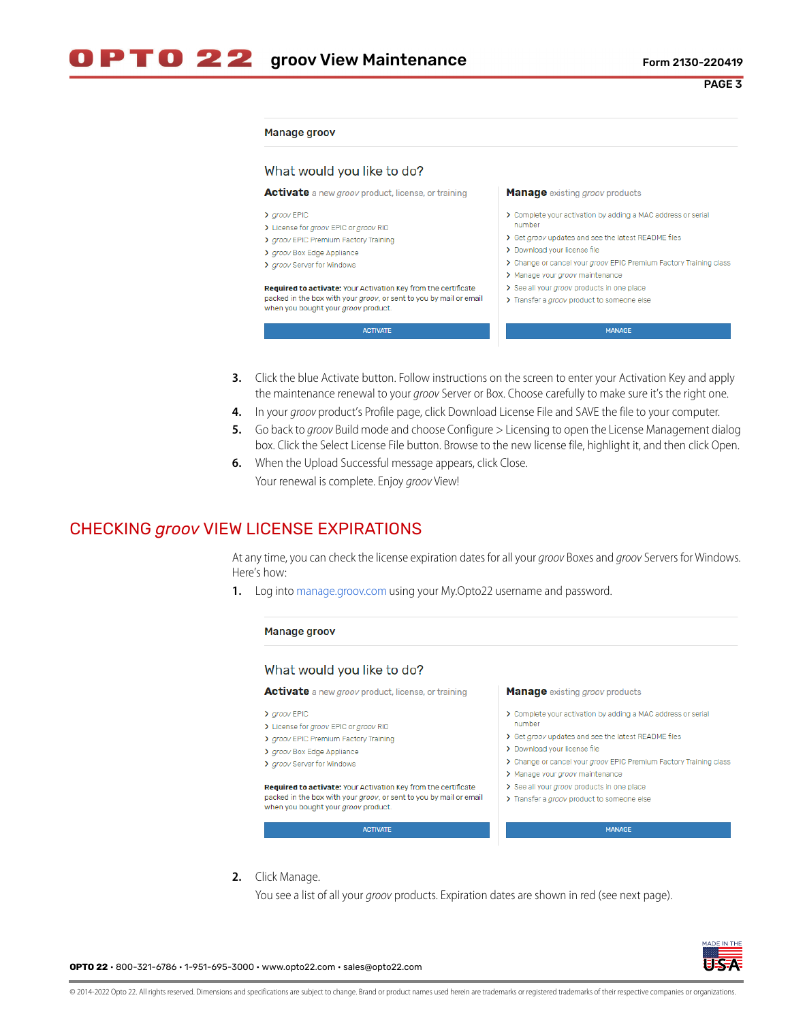PAGE 3

### Manage groov

| <b>Activate</b> a new <i>groov</i> product, license, or training                                                                                                                   | <b>Manage</b> existing groov products                                                                                                                                                                                                                                 |
|------------------------------------------------------------------------------------------------------------------------------------------------------------------------------------|-----------------------------------------------------------------------------------------------------------------------------------------------------------------------------------------------------------------------------------------------------------------------|
| > groov EPIC<br>> License for groov EPIC or groov RIO<br>> groov EPIC Premium Factory Training<br>> groov Box Edge Appliance<br>> groov Server for Windows                         | > Complete your activation by adding a MAC address or serial<br>number<br>> Get groov updates and see the latest README files<br>> Download your license file<br>> Change or cancel your groov EPIC Premium Factory Training class<br>> Manage your groov maintenance |
| <b>Required to activate:</b> Your Activation Key from the certificate<br>packed in the box with your groov, or sent to you by mail or email<br>when you bought your groov product. | > See all your groov products in one place<br>> Transfer a groov product to someone else                                                                                                                                                                              |
| <b>ACTIVATE</b>                                                                                                                                                                    | <b>MANAGE</b>                                                                                                                                                                                                                                                         |

- **3.** Click the blue Activate button. Follow instructions on the screen to enter your Activation Key and apply the maintenance renewal to your *groov* Server or Box. Choose carefully to make sure it's the right one.
- **4.** In your groov product's Profile page, click Download License File and SAVE the file to your computer.
- **5.** Go back to groov Build mode and choose Configure > Licensing to open the License Management dialog box. Click the Select License File button. Browse to the new license file, highlight it, and then click Open.
- **6.** When the Upload Successful message appears, click Close. Your renewal is complete. Enjoy groov View!

# CHECKING *groov* VIEW LICENSE EXPIRATIONS

At any time, you can check the license expiration dates for all your groov Boxes and groov Servers for Windows. Here's how:

**1.** Log into [manage.groov.com](https://www.opto22.com/my-opto/manage-groov) using your My.Opto22 username and password.

#### Manage groov What would you like to do? **Activate** a new groov product, license, or training **Manage** existing groov products > groov EPIC > Complete your activation by adding a MAC address or serial number > License for groov EPIC or groov RIO > Get aroov updates and see the latest README files > groov EPIC Premium Factory Training > Download your license file > groov Box Edge Appliance > aroov Server for Windows > Change or cancel your groov EPIC Premium Factory Training class > Manage your groov maintenance Required to activate: Your Activation Key from the certificate > See all your groov products in one place packed in the box with your groov, or sent to you by mail or email > Transfer a groov product to someone else when you bought your groov product. MANAGE ACTIVATE

**2.** Click Manage.

You see a list of all your *groov* products. Expiration dates are shown in red (see next page).



**OPTO 22** • 800-321-6786 • 1-951-695-3000 • www.opto22.com • sales@opto22.com

© 2014-2022 Opto 22. All rights reserved. Dimensions and specifications are subject to change. Brand or product names used herein are trademarks or registered trademarks of their respective companies or organizations.